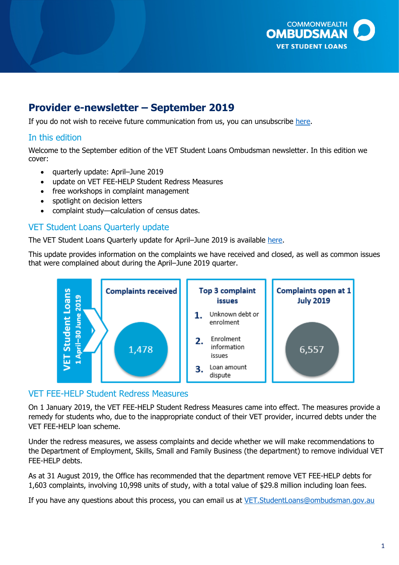

# **Provider e-newsletter – September 2019**

If you do not wish to receive future communication from us, you can unsubscribe <u>here</u>.

# In this edition

 Welcome to the September edition of the VET Student Loans Ombudsman newsletter. In this edition we cover:

- quarterly update: April–June 2019
- update on VET FEE-HELP Student Redress Measures
- free workshops in complaint management
- spotlight on decision letters
- complaint study—calculation of census dates.

#### VET Student Loans Quarterly update

The VET Student Loans Quarterly update for April–June 2019 is available <u>here</u>.

 This update provides information on the complaints we have received and closed, as well as common issues that were complained about during the April–June 2019 quarter.



#### VET FEE-HELP Student Redress Measures

 On 1 January 2019, the VET FEE-HELP Student Redress Measures came into effect. The measures provide a remedy for students who, due to the inappropriate conduct of their VET provider, incurred debts under the VET FEE-HELP loan scheme.

 Under the redress measures, we assess complaints and decide whether we will make recommendations to the Department of Employment, Skills, Small and Family Business (the department) to remove individual VET FEE-HELP debts.

 As at 31 August 2019, the Office has recommended that the department remove VET FEE-HELP debts for 1,603 complaints, involving 10,998 units of study, with a total value of \$29.8 million including loan fees.

If you have any questions about this process, you can email us at <u>VET.StudentLoans@ombudsman.gov.au</u>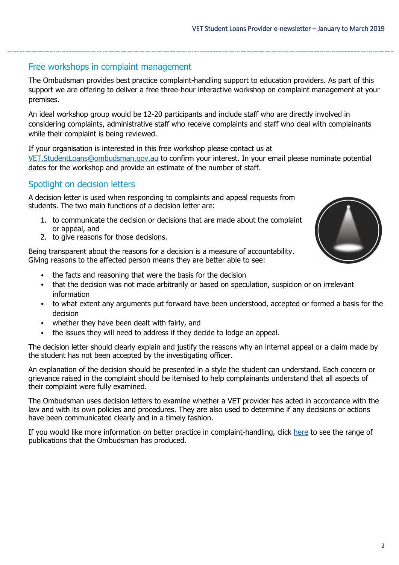#### Free workshops in complaint management

 The Ombudsman provides best practice complaint-handling support to education providers. As part of this support we are offering to deliver a free three-hour interactive workshop on complaint management at your premises.

 An ideal workshop group would be 12-20 participants and include staff who are directly involved in considering complaints, administrative staff who receive complaints and staff who deal with complainants while their complaint is being reviewed.

 If your organisation is interested in this free workshop please contact us at [VET.StudentLoans@ombudsman.gov.au](mailto:VET.StudentLoans@ombudsman.gov.au) to confirm your interest. In your email please nominate potential dates for the workshop and provide an estimate of the number of staff.

### Spotlight on decision letters

 A decision letter is used when responding to complaints and appeal requests from students. The two main functions of a decision letter are:

- 1. to communicate the decision or decisions that are made about the complaint or appeal, and
- 2. to give reasons for those decisions.

 Being transparent about the reasons for a decision is a measure of accountability. Giving reasons to the affected person means they are better able to see:

- the facts and reasoning that were the basis for the decision
- • that the decision was not made arbitrarily or based on speculation, suspicion or on irrelevant information
- • to what extent any arguments put forward have been understood, accepted or formed a basis for the decision
- whether they have been dealt with fairly, and
- the issues they will need to address if they decide to lodge an appeal.

 The decision letter should clearly explain and justify the reasons why an internal appeal or a claim made by the student has not been accepted by the investigating officer.

 An explanation of the decision should be presented in a style the student can understand. Each concern or grievance raised in the complaint should be itemised to help complainants understand that all aspects of their complaint were fully examined.

 The Ombudsman uses decision letters to examine whether a VET provider has acted in accordance with the law and with its own policies and procedures. They are also used to determine if any decisions or actions have been communicated clearly and in a timely fashion.

If you would like more information on better practice in complaint-handling, click <u>here</u> to see the range of publications that the Ombudsman has produced.